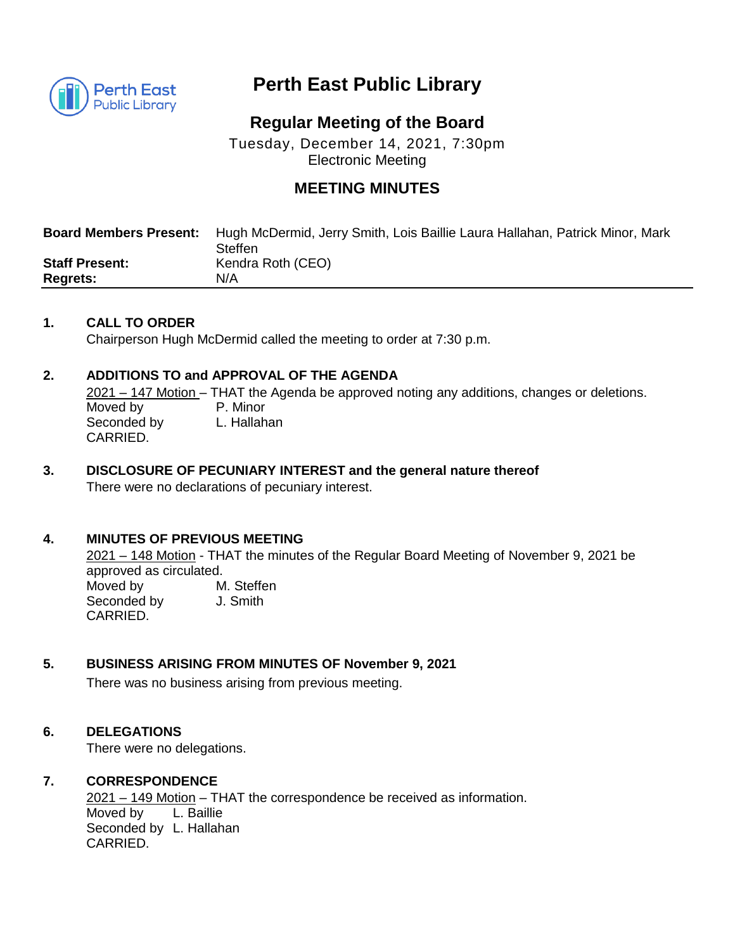

# **Perth East Public Library**

# **Regular Meeting of the Board**

Tuesday, December 14, 2021, 7:30pm Electronic Meeting

# **MEETING MINUTES**

| <b>Board Members Present:</b> | Hugh McDermid, Jerry Smith, Lois Baillie Laura Hallahan, Patrick Minor, Mark<br>Steffen |
|-------------------------------|-----------------------------------------------------------------------------------------|
| <b>Staff Present:</b>         | Kendra Roth (CEO)                                                                       |
| <b>Regrets:</b>               | N/A                                                                                     |

## **1. CALL TO ORDER**

Chairperson Hugh McDermid called the meeting to order at 7:30 p.m.

## **2. ADDITIONS TO and APPROVAL OF THE AGENDA**

2021 – 147 Motion – THAT the Agenda be approved noting any additions, changes or deletions. Moved by P. Minor Seconded by L. Hallahan CARRIED.

**3. DISCLOSURE OF PECUNIARY INTEREST and the general nature thereof** There were no declarations of pecuniary interest.

#### **4. MINUTES OF PREVIOUS MEETING**

2021 – 148 Motion - THAT the minutes of the Regular Board Meeting of November 9, 2021 be approved as circulated. Moved by M. Steffen Seconded by J. Smith CARRIED.

#### **5. BUSINESS ARISING FROM MINUTES OF November 9, 2021**

There was no business arising from previous meeting.

#### **6. DELEGATIONS**

There were no delegations.

#### **7. CORRESPONDENCE**

2021 – 149 Motion – THAT the correspondence be received as information. Moved by L. Baillie Seconded by L. Hallahan CARRIED.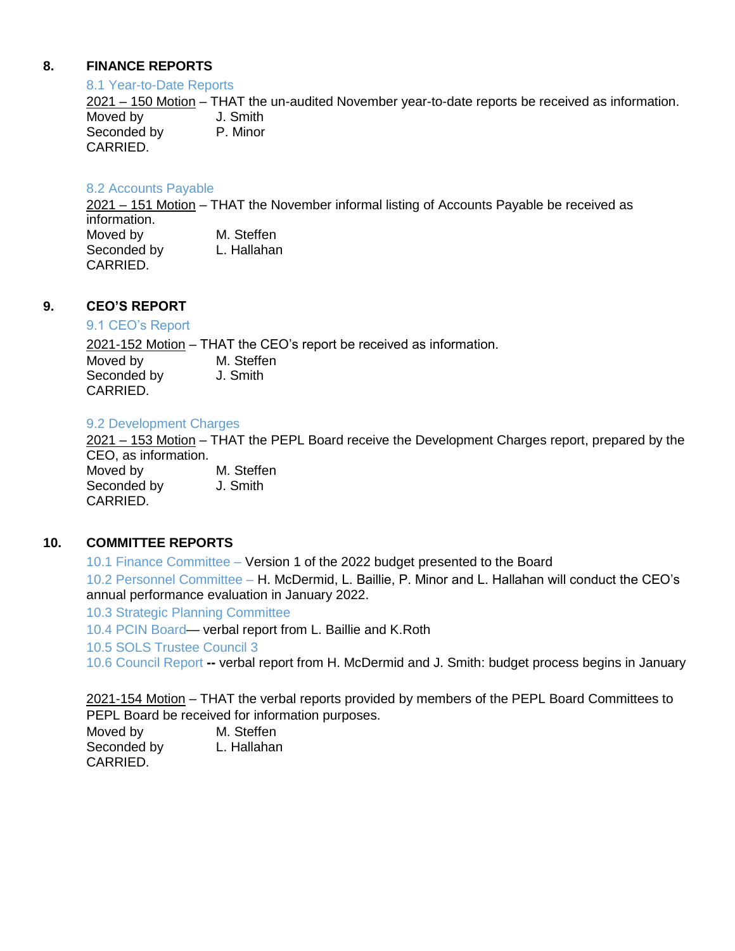# **8. FINANCE REPORTS**

#### 8.1 Year-to-Date Reports

2021 – 150 Motion – THAT the un-audited November year-to-date reports be received as information. Moved by J. Smith Seconded by P. Minor CARRIED.

#### 8.2 Accounts Payable

2021 – 151 Motion – THAT the November informal listing of Accounts Payable be received as information. Moved by **M. Steffen** Seconded by L. Hallahan CARRIED.

#### **9. CEO'S REPORT**

#### 9.1 CEO's Report

2021-152 Motion – THAT the CEO's report be received as information. Moved by M. Steffen Seconded by J. Smith CARRIED.

#### 9.2 Development Charges

2021 – 153 Motion – THAT the PEPL Board receive the Development Charges report, prepared by the CEO, as information. Moved by M. Steffen Seconded by **J.** Smith CARRIED.

#### **10. COMMITTEE REPORTS**

10.1 Finance Committee – Version 1 of the 2022 budget presented to the Board

10.2 Personnel Committee – H. McDermid, L. Baillie, P. Minor and L. Hallahan will conduct the CEO's annual performance evaluation in January 2022.

10.3 Strategic Planning Committee

10.4 PCIN Board— verbal report from L. Baillie and K.Roth

10.5 SOLS Trustee Council 3

10.6 Council Report **--** verbal report from H. McDermid and J. Smith: budget process begins in January

2021-154 Motion – THAT the verbal reports provided by members of the PEPL Board Committees to PEPL Board be received for information purposes.

Moved by M. Steffen Seconded by L. Hallahan CARRIED.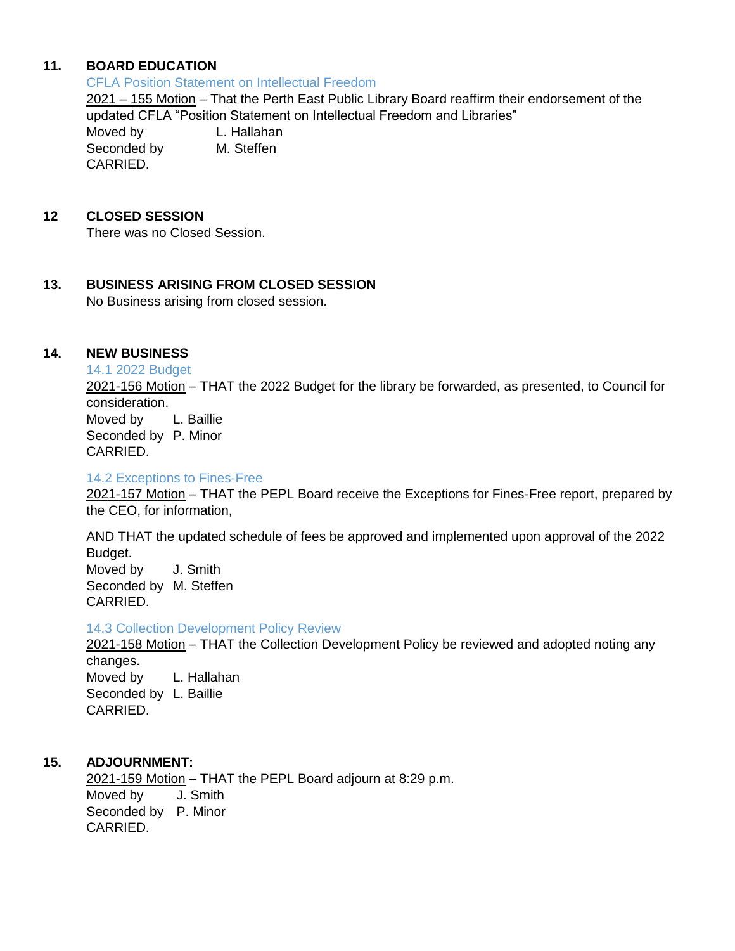# **11. BOARD EDUCATION**

CFLA Position Statement on Intellectual Freedom 2021 – 155 Motion – That the Perth East Public Library Board reaffirm their endorsement of the updated CFLA "Position Statement on Intellectual Freedom and Libraries" Moved by L. Hallahan Seconded by M. Steffen CARRIED.

## **12 CLOSED SESSION**

There was no Closed Session.

# **13. BUSINESS ARISING FROM CLOSED SESSION**

No Business arising from closed session.

#### **14. NEW BUSINESS**

14.1 2022 Budget

2021-156 Motion – THAT the 2022 Budget for the library be forwarded, as presented, to Council for consideration.

Moved by L. Baillie Seconded by P. Minor CARRIED.

#### 14.2 Exceptions to Fines-Free

2021-157 Motion – THAT the PEPL Board receive the Exceptions for Fines-Free report, prepared by the CEO, for information,

AND THAT the updated schedule of fees be approved and implemented upon approval of the 2022 Budget. Moved by J. Smith Seconded by M. Steffen CARRIED.

#### 14.3 Collection Development Policy Review

2021-158 Motion – THAT the Collection Development Policy be reviewed and adopted noting any changes. Moved by L. Hallahan Seconded by L. Baillie CARRIED.

## **15. ADJOURNMENT:**

2021-159 Motion – THAT the PEPL Board adjourn at 8:29 p.m. Moved by A. Smith **Section 2006 J. Smith** Seconded by P. Minor CARRIED.